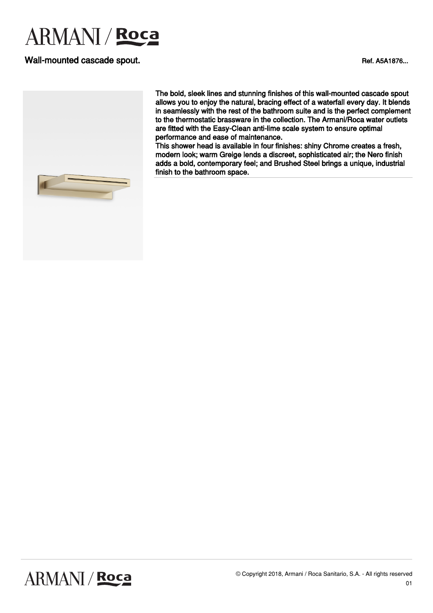### Wall-mounted cascade spout. The contract of the contract of the contract of the contract of the contract of the contract of the contract of the contract of the contract of the contract of the contract of the contract of th



The bold, sleek lines and stunning finishes of this wall-mounted cascade spout allows you to enjoy the natural, bracing effect of a waterfall every day. It blends in seamlessly with the rest of the bathroom suite and is the perfect complement to the thermostatic brassware in the collection. The Armani/Roca water outlets are fitted with the Easy-Clean anti-lime scale system to ensure optimal performance and ease of maintenance.

This shower head is available in four finishes: shiny Chrome creates a fresh, modern look; warm Greige lends a discreet, sophisticated air; the Nero finish adds a bold, contemporary feel; and Brushed Steel brings a unique, industrial finish to the bathroom space.

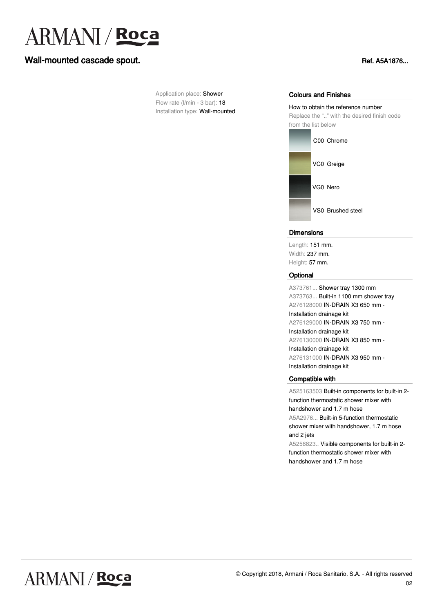### Wall-mounted cascade spout. The contract of the contract of the contract of the contract of the contract of the contract of the contract of the contract of the contract of the contract of the contract of the contract of th

Application place: Shower Flow rate (l/min - 3 bar): 18 Installation type: Wall-mounted

#### Colours and Finishes

How to obtain the reference number Replace the ".." with the desired finish code from the list below



#### **Dimensions**

Length: 151 mm. Width: 237 mm. Height: 57 mm.

#### **Optional**

A373761... Shower tray 1300 mm A373763... Built-in 1100 mm shower tray A276128000 IN-DRAIN X3 650 mm - Installation drainage kit A276129000 IN-DRAIN X3 750 mm - Installation drainage kit A276130000 IN-DRAIN X3 850 mm - Installation drainage kit A276131000 IN-DRAIN X3 950 mm - Installation drainage kit

#### Compatible with

A525163503 Built-in components for built-in 2 function thermostatic shower mixer with handshower and 1.7 m hose A5A2976... Built-in 5-function thermostatic shower mixer with handshower, 1.7 m hose and 2 jets A5258823.. Visible components for built-in 2-

function thermostatic shower mixer with handshower and 1.7 m hose

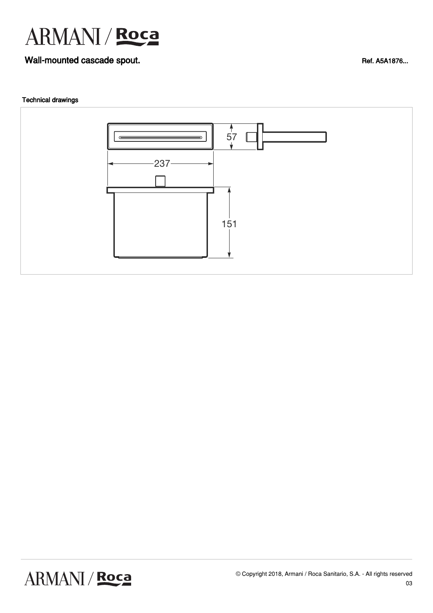### Wall-mounted cascade spout. The contract of the contract of the contract of the contract of the contract of the contract of the contract of the contract of the contract of the contract of the contract of the contract of th

### Technical drawings